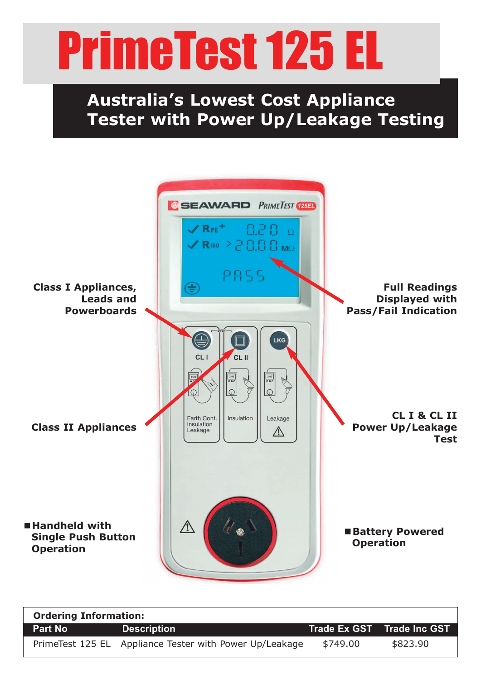## PrimeTest 125 EL

## **Australia's Lowest Cost Appliance Tester with Power Up/Leakage Testing**



| <b>Ordering Information:</b> |                                                         |          |                            |
|------------------------------|---------------------------------------------------------|----------|----------------------------|
| <b>Part No</b>               | <b>Description</b>                                      |          | Trade Ex GST Trade Inc GST |
|                              | PrimeTest 125 EL Appliance Tester with Power Up/Leakage | \$749.00 | \$823.90                   |